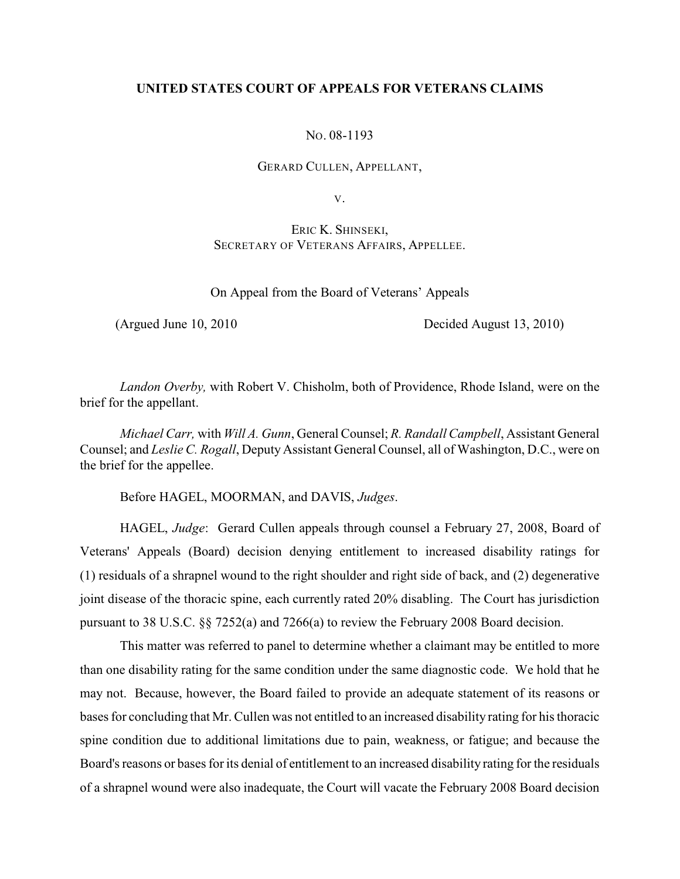# **UNITED STATES COURT OF APPEALS FOR VETERANS CLAIMS**

NO. 08-1193

GERARD CULLEN, APPELLANT,

V.

ERIC K. SHINSEKI, SECRETARY OF VETERANS AFFAIRS, APPELLEE.

On Appeal from the Board of Veterans' Appeals

(Argued June 10, 2010 Decided August 13, 2010)

*Landon Overby,* with Robert V. Chisholm, both of Providence, Rhode Island, were on the brief for the appellant.

*Michael Carr,* with *Will A. Gunn*, General Counsel; *R. Randall Campbell*, Assistant General Counsel; and *Leslie C. Rogall*, Deputy Assistant General Counsel, all of Washington, D.C., were on the brief for the appellee.

Before HAGEL, MOORMAN, and DAVIS, *Judges*.

HAGEL, *Judge*: Gerard Cullen appeals through counsel a February 27, 2008, Board of Veterans' Appeals (Board) decision denying entitlement to increased disability ratings for (1) residuals of a shrapnel wound to the right shoulder and right side of back, and (2) degenerative joint disease of the thoracic spine, each currently rated 20% disabling. The Court has jurisdiction pursuant to 38 U.S.C. §§ 7252(a) and 7266(a) to review the February 2008 Board decision.

This matter was referred to panel to determine whether a claimant may be entitled to more than one disability rating for the same condition under the same diagnostic code. We hold that he may not. Because, however, the Board failed to provide an adequate statement of its reasons or bases for concluding that Mr. Cullen was not entitled to an increased disability rating for his thoracic spine condition due to additional limitations due to pain, weakness, or fatigue; and because the Board's reasons or bases for its denial of entitlement to an increased disability rating for the residuals of a shrapnel wound were also inadequate, the Court will vacate the February 2008 Board decision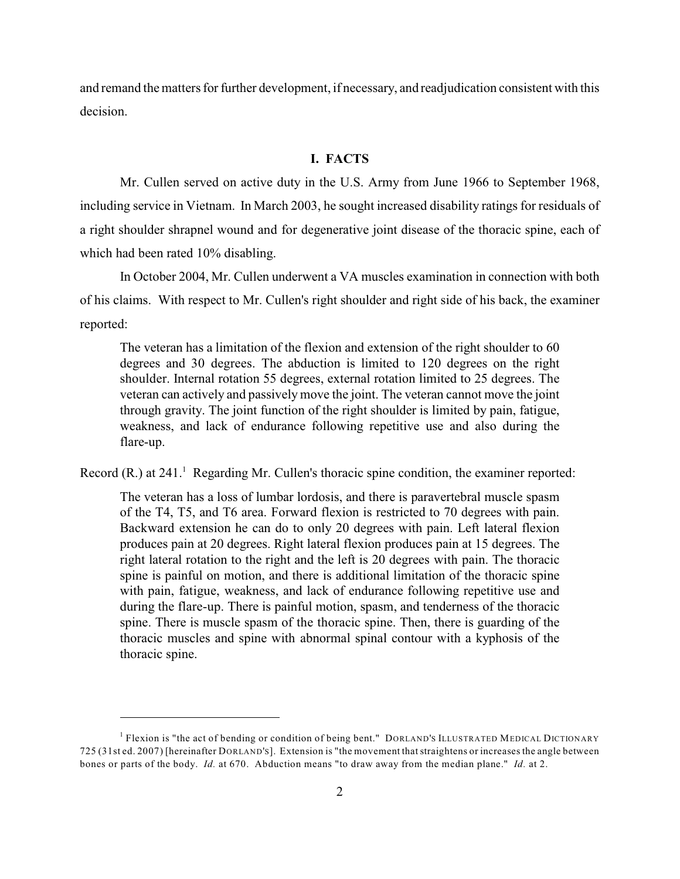and remand the matters for further development, if necessary, and readjudication consistent with this decision.

### **I. FACTS**

Mr. Cullen served on active duty in the U.S. Army from June 1966 to September 1968, including service in Vietnam. In March 2003, he sought increased disability ratings for residuals of a right shoulder shrapnel wound and for degenerative joint disease of the thoracic spine, each of which had been rated 10% disabling.

In October 2004, Mr. Cullen underwent a VA muscles examination in connection with both of his claims. With respect to Mr. Cullen's right shoulder and right side of his back, the examiner reported:

The veteran has a limitation of the flexion and extension of the right shoulder to 60 degrees and 30 degrees. The abduction is limited to 120 degrees on the right shoulder. Internal rotation 55 degrees, external rotation limited to 25 degrees. The veteran can actively and passively move the joint. The veteran cannot move the joint through gravity. The joint function of the right shoulder is limited by pain, fatigue, weakness, and lack of endurance following repetitive use and also during the flare-up.

Record (R.) at  $241<sup>1</sup>$  Regarding Mr. Cullen's thoracic spine condition, the examiner reported:

The veteran has a loss of lumbar lordosis, and there is paravertebral muscle spasm of the T4, T5, and T6 area. Forward flexion is restricted to 70 degrees with pain. Backward extension he can do to only 20 degrees with pain. Left lateral flexion produces pain at 20 degrees. Right lateral flexion produces pain at 15 degrees. The right lateral rotation to the right and the left is 20 degrees with pain. The thoracic spine is painful on motion, and there is additional limitation of the thoracic spine with pain, fatigue, weakness, and lack of endurance following repetitive use and during the flare-up. There is painful motion, spasm, and tenderness of the thoracic spine. There is muscle spasm of the thoracic spine. Then, there is guarding of the thoracic muscles and spine with abnormal spinal contour with a kyphosis of the thoracic spine.

<sup>&</sup>lt;sup>1</sup> Flexion is "the act of bending or condition of being bent." DORLAND'S ILLUSTRATED MEDICAL DICTIONARY 725 (31st ed. 2007) [hereinafter DORLAND'S]. Extension is "the movement that straightens or increases the angle between bones or parts of the body. *Id.* at 670. Abduction means "to draw away from the median plane." *Id.* at 2.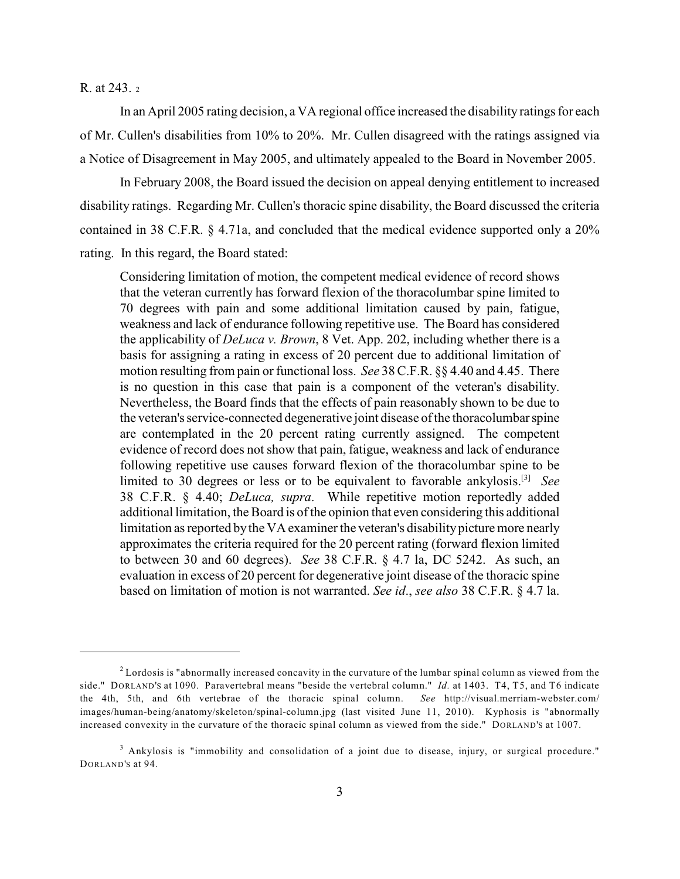R. at 243. <sup>2</sup>

In an April 2005 rating decision, a VA regional office increased the disability ratings for each of Mr. Cullen's disabilities from 10% to 20%. Mr. Cullen disagreed with the ratings assigned via a Notice of Disagreement in May 2005, and ultimately appealed to the Board in November 2005.

In February 2008, the Board issued the decision on appeal denying entitlement to increased disability ratings. Regarding Mr. Cullen's thoracic spine disability, the Board discussed the criteria contained in 38 C.F.R. § 4.71a, and concluded that the medical evidence supported only a 20% rating. In this regard, the Board stated:

Considering limitation of motion, the competent medical evidence of record shows that the veteran currently has forward flexion of the thoracolumbar spine limited to 70 degrees with pain and some additional limitation caused by pain, fatigue, weakness and lack of endurance following repetitive use. The Board has considered the applicability of *DeLuca v. Brown*, 8 Vet. App. 202, including whether there is a basis for assigning a rating in excess of 20 percent due to additional limitation of motion resulting from pain or functional loss. *See* 38 C.F.R. §§ 4.40 and 4.45. There is no question in this case that pain is a component of the veteran's disability. Nevertheless, the Board finds that the effects of pain reasonably shown to be due to the veteran's service-connected degenerative joint disease of the thoracolumbar spine are contemplated in the 20 percent rating currently assigned. The competent evidence of record does not show that pain, fatigue, weakness and lack of endurance following repetitive use causes forward flexion of the thoracolumbar spine to be limited to 30 degrees or less or to be equivalent to favorable ankylosis.<sup>[3]</sup> See 38 C.F.R. § 4.40; *DeLuca, supra*. While repetitive motion reportedly added additional limitation, the Board is of the opinion that even considering this additional limitation as reported by the VA examiner the veteran's disability picture more nearly approximates the criteria required for the 20 percent rating (forward flexion limited to between 30 and 60 degrees). *See* 38 C.F.R. § 4.7 la, DC 5242. As such, an evaluation in excess of 20 percent for degenerative joint disease of the thoracic spine based on limitation of motion is not warranted. *See id*., *see also* 38 C.F.R. § 4.7 la.

 $2$  Lordosis is "abnormally increased concavity in the curvature of the lumbar spinal column as viewed from the side." DORLAND'S at 1090. Paravertebral means "beside the vertebral column." *Id.* at 1403. T4, T5, and T6 indicate the 4th, 5th, and 6th vertebrae of the thoracic spinal column. *See* http://visual.merriam-webster.com/ images/human-being/anatomy/skeleton/spinal-column.jpg (last visited June 11, 2010). Kyphosis is "abnormally increased convexity in the curvature of the thoracic spinal column as viewed from the side." DORLAND'S at 1007.

<sup>&</sup>lt;sup>3</sup> Ankylosis is "immobility and consolidation of a joint due to disease, injury, or surgical procedure." DORLAND'S at 94.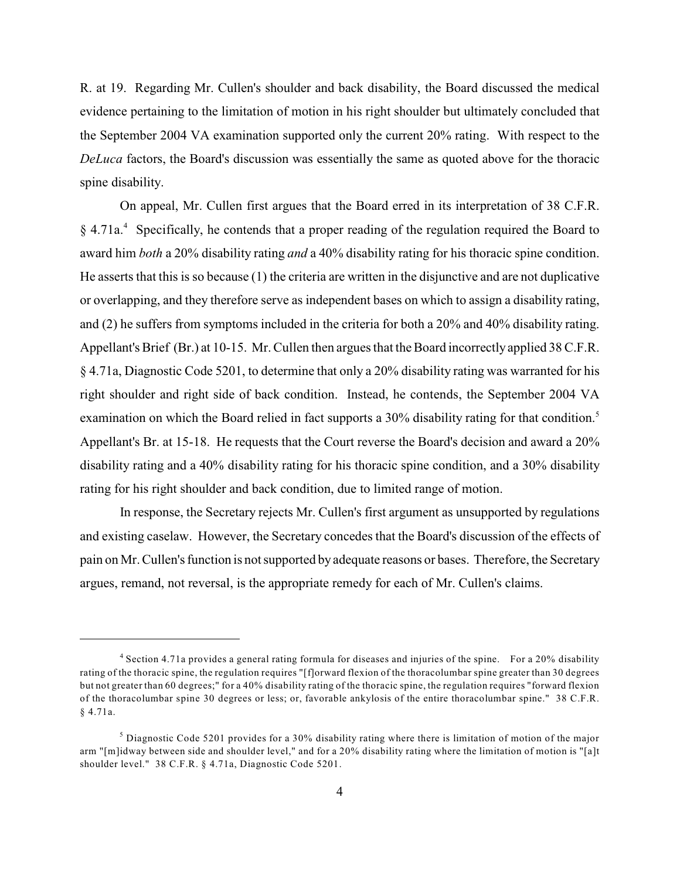R. at 19. Regarding Mr. Cullen's shoulder and back disability, the Board discussed the medical evidence pertaining to the limitation of motion in his right shoulder but ultimately concluded that the September 2004 VA examination supported only the current 20% rating. With respect to the *DeLuca* factors, the Board's discussion was essentially the same as quoted above for the thoracic spine disability.

On appeal, Mr. Cullen first argues that the Board erred in its interpretation of 38 C.F.R.  $\S 4.71a<sup>4</sup>$  Specifically, he contends that a proper reading of the regulation required the Board to award him *both* a 20% disability rating *and* a 40% disability rating for his thoracic spine condition. He asserts that this is so because (1) the criteria are written in the disjunctive and are not duplicative or overlapping, and they therefore serve as independent bases on which to assign a disability rating, and (2) he suffers from symptoms included in the criteria for both a 20% and 40% disability rating. Appellant's Brief (Br.) at 10-15. Mr. Cullen then argues that the Board incorrectly applied 38 C.F.R. § 4.71a, Diagnostic Code 5201, to determine that only a 20% disability rating was warranted for his right shoulder and right side of back condition. Instead, he contends, the September 2004 VA examination on which the Board relied in fact supports a 30% disability rating for that condition.<sup>5</sup> Appellant's Br. at 15-18. He requests that the Court reverse the Board's decision and award a 20% disability rating and a 40% disability rating for his thoracic spine condition, and a 30% disability rating for his right shoulder and back condition, due to limited range of motion.

In response, the Secretary rejects Mr. Cullen's first argument as unsupported by regulations and existing caselaw. However, the Secretary concedes that the Board's discussion of the effects of pain on Mr. Cullen's function is not supported by adequate reasons or bases. Therefore, the Secretary argues, remand, not reversal, is the appropriate remedy for each of Mr. Cullen's claims.

<sup>&</sup>lt;sup>4</sup> Section 4.71a provides a general rating formula for diseases and injuries of the spine. For a 20% disability rating of the thoracic spine, the regulation requires "[f]orward flexion of the thoracolumbar spine greater than 30 degrees but not greater than 60 degrees;" for a 40% disability rating of the thoracic spine, the regulation requires "forward flexion of the thoracolumbar spine 30 degrees or less; or, favorable ankylosis of the entire thoracolumbar spine." 38 C.F.R. § 4.71a.

<sup>&</sup>lt;sup>5</sup> Diagnostic Code 5201 provides for a 30% disability rating where there is limitation of motion of the major arm "[m]idway between side and shoulder level," and for a 20% disability rating where the limitation of motion is "[a]t shoulder level." 38 C.F.R. § 4.71a, Diagnostic Code 5201.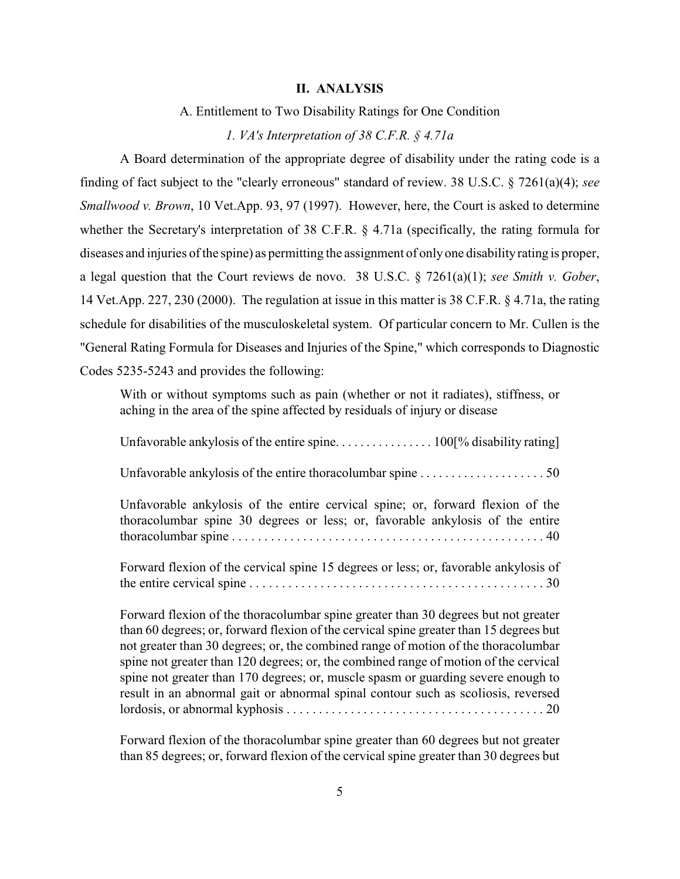#### **II. ANALYSIS**

A. Entitlement to Two Disability Ratings for One Condition

#### *1. VA's Interpretation of 38 C.F.R. § 4.71a*

A Board determination of the appropriate degree of disability under the rating code is a finding of fact subject to the "clearly erroneous" standard of review. 38 U.S.C. § 7261(a)(4); *see Smallwood v. Brown*, 10 Vet.App. 93, 97 (1997). However, here, the Court is asked to determine whether the Secretary's interpretation of 38 C.F.R. § 4.71a (specifically, the rating formula for diseases and injuries of the spine) as permitting the assignment of only one disability rating is proper, a legal question that the Court reviews de novo. 38 U.S.C. § 7261(a)(1); *see Smith v. Gober*, 14 Vet.App. 227, 230 (2000). The regulation at issue in this matter is 38 C.F.R. § 4.71a, the rating schedule for disabilities of the musculoskeletal system. Of particular concern to Mr. Cullen is the "General Rating Formula for Diseases and Injuries of the Spine," which corresponds to Diagnostic Codes 5235-5243 and provides the following:

With or without symptoms such as pain (whether or not it radiates), stiffness, or aching in the area of the spine affected by residuals of injury or disease

Unfavorable ankylosis of the entire spine. . . . . . . . . . . . . . . . 100<sup>o</sup> disability rating

Unfavorable ankylosis of the entire thoracolumbar spine . . . . . . . . . . . . . . . . . . . . 50

Unfavorable ankylosis of the entire cervical spine; or, forward flexion of the thoracolumbar spine 30 degrees or less; or, favorable ankylosis of the entire thoracolumbar spine . . . . . . . . . . . . . . . . . . . . . . . . . . . . . . . . . . . . . . . . . . . . . . . . . 40

Forward flexion of the cervical spine 15 degrees or less; or, favorable ankylosis of the entire cervical spine . . . . . . . . . . . . . . . . . . . . . . . . . . . . . . . . . . . . . . . . . . . . . . 30

Forward flexion of the thoracolumbar spine greater than 30 degrees but not greater than 60 degrees; or, forward flexion of the cervical spine greater than 15 degrees but not greater than 30 degrees; or, the combined range of motion of the thoracolumbar spine not greater than 120 degrees; or, the combined range of motion of the cervical spine not greater than 170 degrees; or, muscle spasm or guarding severe enough to result in an abnormal gait or abnormal spinal contour such as scoliosis, reversed lordosis, or abnormal kyphosis . . . . . . . . . . . . . . . . . . . . . . . . . . . . . . . . . . . . . . . . 20

Forward flexion of the thoracolumbar spine greater than 60 degrees but not greater than 85 degrees; or, forward flexion of the cervical spine greater than 30 degrees but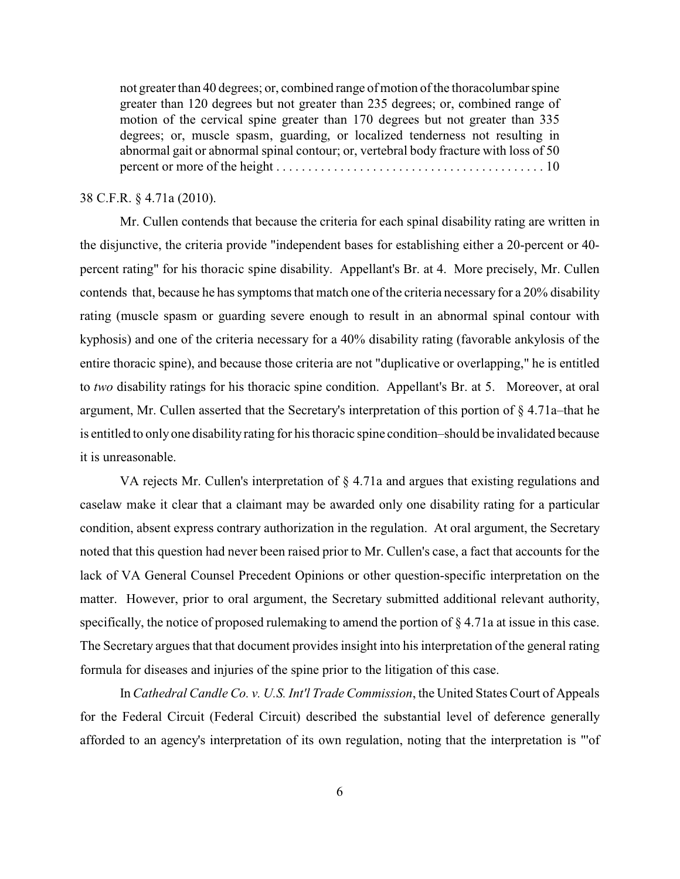not greater than 40 degrees; or, combined range of motion of the thoracolumbar spine greater than 120 degrees but not greater than 235 degrees; or, combined range of motion of the cervical spine greater than 170 degrees but not greater than 335 degrees; or, muscle spasm, guarding, or localized tenderness not resulting in abnormal gait or abnormal spinal contour; or, vertebral body fracture with loss of 50 percent or more of the height . . . . . . . . . . . . . . . . . . . . . . . . . . . . . . . . . . . . . . . . . . 10

# 38 C.F.R. § 4.71a (2010).

Mr. Cullen contends that because the criteria for each spinal disability rating are written in the disjunctive, the criteria provide "independent bases for establishing either a 20-percent or 40 percent rating" for his thoracic spine disability. Appellant's Br. at 4. More precisely, Mr. Cullen contends that, because he has symptoms that match one of the criteria necessary for a 20% disability rating (muscle spasm or guarding severe enough to result in an abnormal spinal contour with kyphosis) and one of the criteria necessary for a 40% disability rating (favorable ankylosis of the entire thoracic spine), and because those criteria are not "duplicative or overlapping," he is entitled to *two* disability ratings for his thoracic spine condition. Appellant's Br. at 5. Moreover, at oral argument, Mr. Cullen asserted that the Secretary's interpretation of this portion of § 4.71a–that he is entitled to only one disability rating for his thoracic spine condition–should be invalidated because it is unreasonable.

VA rejects Mr. Cullen's interpretation of § 4.71a and argues that existing regulations and caselaw make it clear that a claimant may be awarded only one disability rating for a particular condition, absent express contrary authorization in the regulation. At oral argument, the Secretary noted that this question had never been raised prior to Mr. Cullen's case, a fact that accounts for the lack of VA General Counsel Precedent Opinions or other question-specific interpretation on the matter. However, prior to oral argument, the Secretary submitted additional relevant authority, specifically, the notice of proposed rulemaking to amend the portion of § 4.71a at issue in this case. The Secretary argues that that document provides insight into his interpretation of the general rating formula for diseases and injuries of the spine prior to the litigation of this case.

In *Cathedral Candle Co. v. U.S. Int'l Trade Commission*, the United States Court of Appeals for the Federal Circuit (Federal Circuit) described the substantial level of deference generally afforded to an agency's interpretation of its own regulation, noting that the interpretation is "'of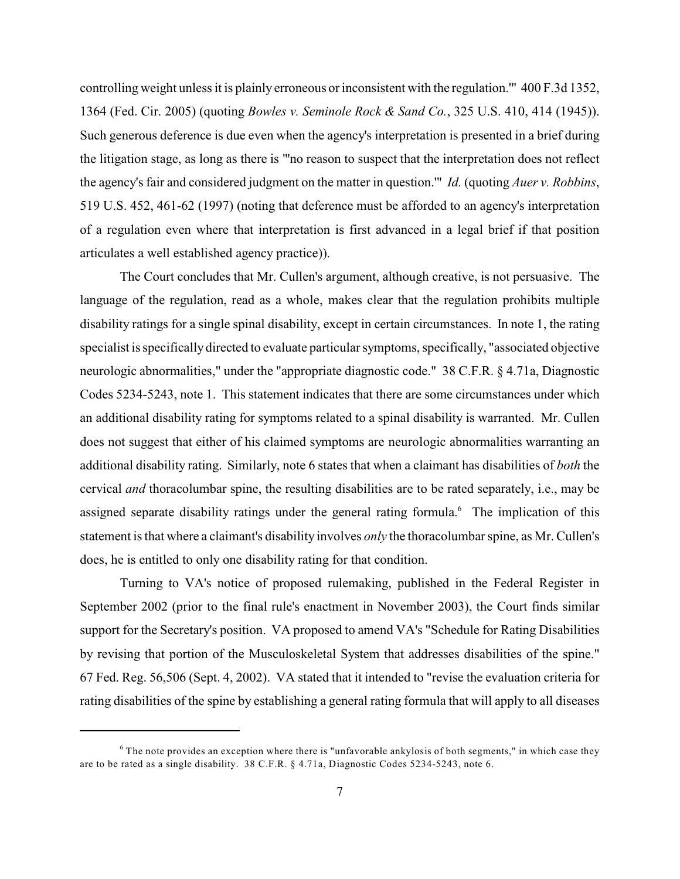controlling weight unless it is plainly erroneous or inconsistent with the regulation.'" 400 F.3d 1352, 1364 (Fed. Cir. 2005) (quoting *Bowles v. Seminole Rock & Sand Co.*, 325 U.S. 410, 414 (1945)). Such generous deference is due even when the agency's interpretation is presented in a brief during the litigation stage, as long as there is "'no reason to suspect that the interpretation does not reflect the agency's fair and considered judgment on the matter in question.'" *Id.* (quoting *Auer v. Robbins*, 519 U.S. 452, 461-62 (1997) (noting that deference must be afforded to an agency's interpretation of a regulation even where that interpretation is first advanced in a legal brief if that position articulates a well established agency practice)).

The Court concludes that Mr. Cullen's argument, although creative, is not persuasive. The language of the regulation, read as a whole, makes clear that the regulation prohibits multiple disability ratings for a single spinal disability, except in certain circumstances. In note 1, the rating specialist is specifically directed to evaluate particular symptoms, specifically, "associated objective neurologic abnormalities," under the "appropriate diagnostic code." 38 C.F.R. § 4.71a, Diagnostic Codes 5234-5243, note 1. This statement indicates that there are some circumstances under which an additional disability rating for symptoms related to a spinal disability is warranted. Mr. Cullen does not suggest that either of his claimed symptoms are neurologic abnormalities warranting an additional disability rating. Similarly, note 6 states that when a claimant has disabilities of *both* the cervical *and* thoracolumbar spine, the resulting disabilities are to be rated separately, i.e., may be assigned separate disability ratings under the general rating formula.<sup> $6$ </sup> The implication of this statement is that where a claimant's disability involves *only* the thoracolumbar spine, as Mr. Cullen's does, he is entitled to only one disability rating for that condition.

Turning to VA's notice of proposed rulemaking, published in the Federal Register in September 2002 (prior to the final rule's enactment in November 2003), the Court finds similar support for the Secretary's position. VA proposed to amend VA's "Schedule for Rating Disabilities by revising that portion of the Musculoskeletal System that addresses disabilities of the spine." 67 Fed. Reg. 56,506 (Sept. 4, 2002). VA stated that it intended to "revise the evaluation criteria for rating disabilities of the spine by establishing a general rating formula that will apply to all diseases

 $6$  The note provides an exception where there is "unfavorable ankylosis of both segments," in which case they are to be rated as a single disability. 38 C.F.R. § 4.71a, Diagnostic Codes 5234-5243, note 6.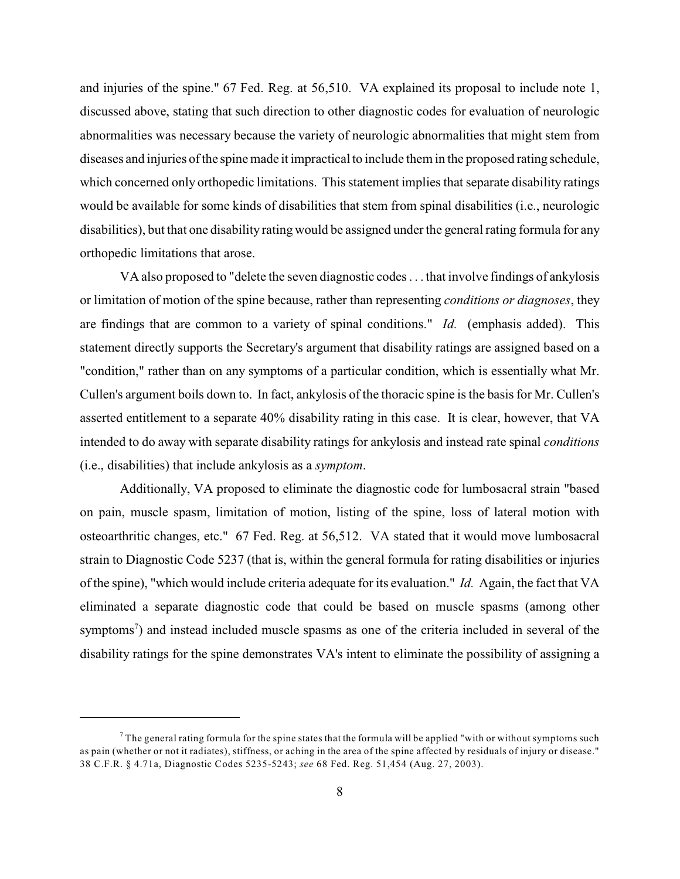and injuries of the spine." 67 Fed. Reg. at 56,510. VA explained its proposal to include note 1, discussed above, stating that such direction to other diagnostic codes for evaluation of neurologic abnormalities was necessary because the variety of neurologic abnormalities that might stem from diseases and injuries of the spine made it impractical to include them in the proposed rating schedule, which concerned only orthopedic limitations. This statement implies that separate disability ratings would be available for some kinds of disabilities that stem from spinal disabilities (i.e., neurologic disabilities), but that one disability rating would be assigned under the general rating formula for any orthopedic limitations that arose.

VA also proposed to "delete the seven diagnostic codes . . . that involve findings of ankylosis or limitation of motion of the spine because, rather than representing *conditions or diagnoses*, they are findings that are common to a variety of spinal conditions." *Id.* (emphasis added). This statement directly supports the Secretary's argument that disability ratings are assigned based on a "condition," rather than on any symptoms of a particular condition, which is essentially what Mr. Cullen's argument boils down to. In fact, ankylosis of the thoracic spine is the basis for Mr. Cullen's asserted entitlement to a separate 40% disability rating in this case. It is clear, however, that VA intended to do away with separate disability ratings for ankylosis and instead rate spinal *conditions* (i.e., disabilities) that include ankylosis as a *symptom*.

Additionally, VA proposed to eliminate the diagnostic code for lumbosacral strain "based on pain, muscle spasm, limitation of motion, listing of the spine, loss of lateral motion with osteoarthritic changes, etc." 67 Fed. Reg. at 56,512. VA stated that it would move lumbosacral strain to Diagnostic Code 5237 (that is, within the general formula for rating disabilities or injuries of the spine), "which would include criteria adequate for its evaluation." *Id.* Again, the fact that VA eliminated a separate diagnostic code that could be based on muscle spasms (among other symptoms<sup>7</sup>) and instead included muscle spasms as one of the criteria included in several of the disability ratings for the spine demonstrates VA's intent to eliminate the possibility of assigning a

 $^7$  The general rating formula for the spine states that the formula will be applied "with or without symptoms such as pain (whether or not it radiates), stiffness, or aching in the area of the spine affected by residuals of injury or disease." 38 C.F.R. § 4.71a, Diagnostic Codes 5235-5243; *see* 68 Fed. Reg. 51,454 (Aug. 27, 2003).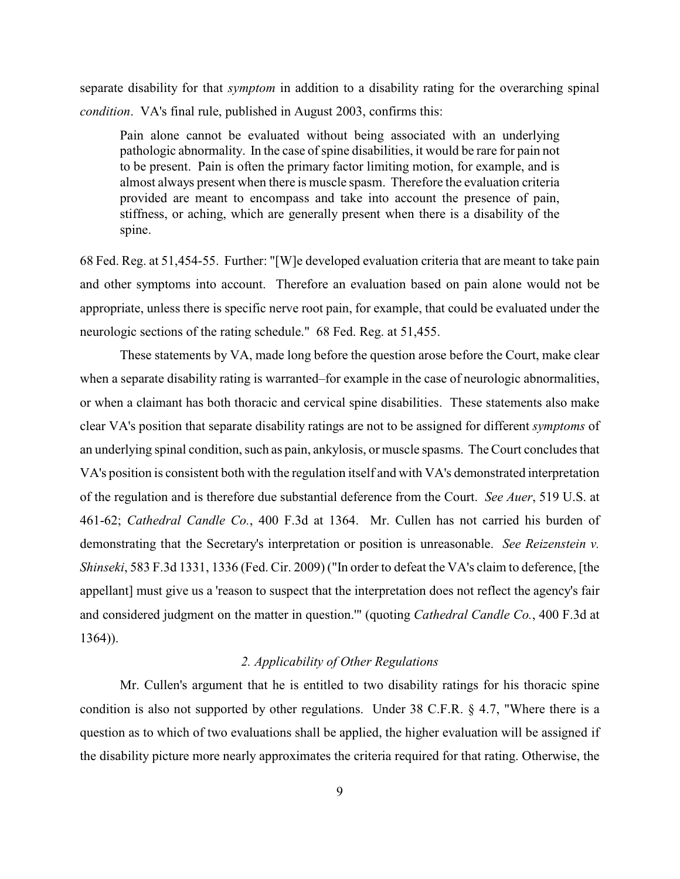separate disability for that *symptom* in addition to a disability rating for the overarching spinal *condition*. VA's final rule, published in August 2003, confirms this:

Pain alone cannot be evaluated without being associated with an underlying pathologic abnormality. In the case of spine disabilities, it would be rare for pain not to be present. Pain is often the primary factor limiting motion, for example, and is almost always present when there is muscle spasm. Therefore the evaluation criteria provided are meant to encompass and take into account the presence of pain, stiffness, or aching, which are generally present when there is a disability of the spine.

68 Fed. Reg. at 51,454-55. Further: "[W]e developed evaluation criteria that are meant to take pain and other symptoms into account. Therefore an evaluation based on pain alone would not be appropriate, unless there is specific nerve root pain, for example, that could be evaluated under the neurologic sections of the rating schedule." 68 Fed. Reg. at 51,455.

These statements by VA, made long before the question arose before the Court, make clear when a separate disability rating is warranted–for example in the case of neurologic abnormalities, or when a claimant has both thoracic and cervical spine disabilities. These statements also make clear VA's position that separate disability ratings are not to be assigned for different *symptoms* of an underlying spinal condition, such as pain, ankylosis, or muscle spasms. The Court concludes that VA's position is consistent both with the regulation itself and with VA's demonstrated interpretation of the regulation and is therefore due substantial deference from the Court. *See Auer*, 519 U.S. at 461-62; *Cathedral Candle Co.*, 400 F.3d at 1364. Mr. Cullen has not carried his burden of demonstrating that the Secretary's interpretation or position is unreasonable. *See Reizenstein v. Shinseki*, 583 F.3d 1331, 1336 (Fed. Cir. 2009) ("In order to defeat the VA's claim to deference, [the appellant] must give us a 'reason to suspect that the interpretation does not reflect the agency's fair and considered judgment on the matter in question.'" (quoting *Cathedral Candle Co.*, 400 F.3d at 1364)).

## *2. Applicability of Other Regulations*

Mr. Cullen's argument that he is entitled to two disability ratings for his thoracic spine condition is also not supported by other regulations. Under 38 C.F.R. § 4.7, "Where there is a question as to which of two evaluations shall be applied, the higher evaluation will be assigned if the disability picture more nearly approximates the criteria required for that rating. Otherwise, the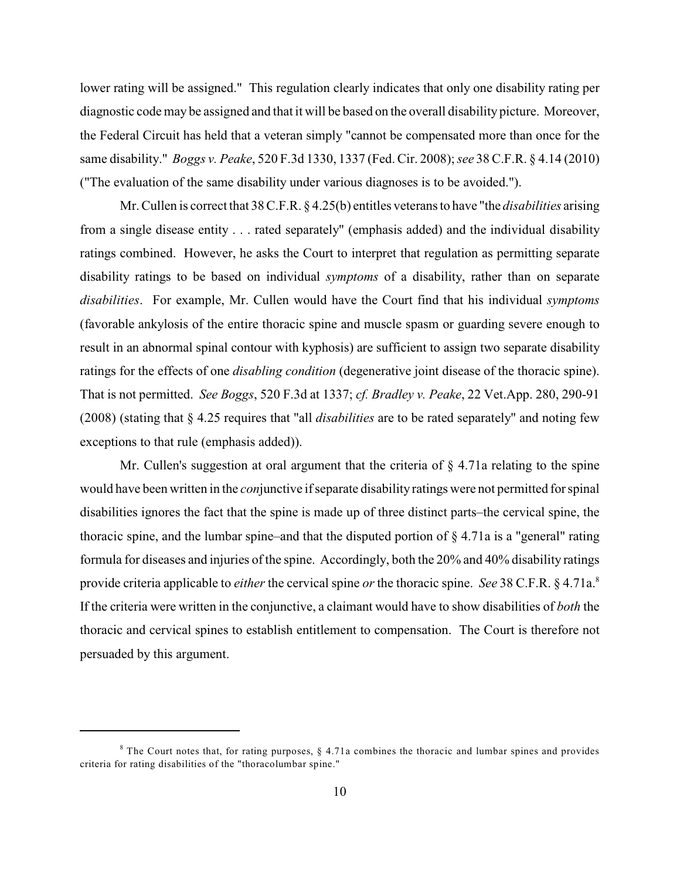lower rating will be assigned." This regulation clearly indicates that only one disability rating per diagnostic code may be assigned and that it will be based on the overall disability picture. Moreover, the Federal Circuit has held that a veteran simply "cannot be compensated more than once for the same disability." *Boggs v. Peake*, 520 F.3d 1330, 1337 (Fed. Cir. 2008); *see* 38 C.F.R. § 4.14 (2010) ("The evaluation of the same disability under various diagnoses is to be avoided.").

Mr. Cullen is correct that 38 C.F.R. § 4.25(b) entitles veterans to have "the *disabilities* arising from a single disease entity . . . rated separately" (emphasis added) and the individual disability ratings combined. However, he asks the Court to interpret that regulation as permitting separate disability ratings to be based on individual *symptoms* of a disability, rather than on separate *disabilities*. For example, Mr. Cullen would have the Court find that his individual *symptoms* (favorable ankylosis of the entire thoracic spine and muscle spasm or guarding severe enough to result in an abnormal spinal contour with kyphosis) are sufficient to assign two separate disability ratings for the effects of one *disabling condition* (degenerative joint disease of the thoracic spine). That is not permitted. *See Boggs*, 520 F.3d at 1337; *cf. Bradley v. Peake*, 22 Vet.App. 280, 290-91 (2008) (stating that § 4.25 requires that "all *disabilities* are to be rated separately" and noting few exceptions to that rule (emphasis added)).

Mr. Cullen's suggestion at oral argument that the criteria of  $\S$  4.71a relating to the spine would have been written in the *con*junctive if separate disability ratings were not permitted for spinal disabilities ignores the fact that the spine is made up of three distinct parts–the cervical spine, the thoracic spine, and the lumbar spine–and that the disputed portion of § 4.71a is a "general" rating formula for diseases and injuries of the spine. Accordingly, both the 20% and 40% disability ratings provide criteria applicable to *either* the cervical spine *or* the thoracic spine. *See* 38 C.F.R. § 4.71a.<sup>8</sup> If the criteria were written in the conjunctive, a claimant would have to show disabilities of *both* the thoracic and cervical spines to establish entitlement to compensation. The Court is therefore not persuaded by this argument.

 $8$  The Court notes that, for rating purposes,  $\S$  4.71a combines the thoracic and lumbar spines and provides criteria for rating disabilities of the "thoracolumbar spine."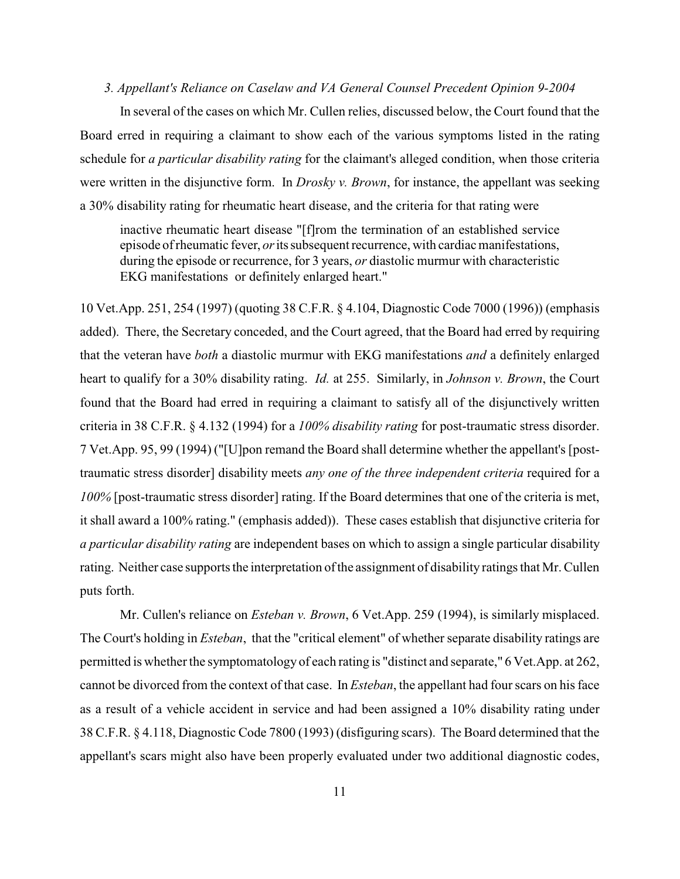### *3. Appellant's Reliance on Caselaw and VA General Counsel Precedent Opinion 9-2004*

In several of the cases on which Mr. Cullen relies, discussed below, the Court found that the Board erred in requiring a claimant to show each of the various symptoms listed in the rating schedule for *a particular disability rating* for the claimant's alleged condition, when those criteria were written in the disjunctive form. In *Drosky v. Brown*, for instance, the appellant was seeking a 30% disability rating for rheumatic heart disease, and the criteria for that rating were

inactive rheumatic heart disease "[f]rom the termination of an established service episode of rheumatic fever, *or*its subsequent recurrence, with cardiac manifestations, during the episode or recurrence, for 3 years, *or* diastolic murmur with characteristic EKG manifestations or definitely enlarged heart."

10 Vet.App. 251, 254 (1997) (quoting 38 C.F.R. § 4.104, Diagnostic Code 7000 (1996)) (emphasis added). There, the Secretary conceded, and the Court agreed, that the Board had erred by requiring that the veteran have *both* a diastolic murmur with EKG manifestations *and* a definitely enlarged heart to qualify for a 30% disability rating. *Id.* at 255. Similarly, in *Johnson v. Brown*, the Court found that the Board had erred in requiring a claimant to satisfy all of the disjunctively written criteria in 38 C.F.R. § 4.132 (1994) for a *100% disability rating* for post-traumatic stress disorder. 7 Vet.App. 95, 99 (1994) ("[U]pon remand the Board shall determine whether the appellant's [posttraumatic stress disorder] disability meets *any one of the three independent criteria* required for a *100%* [post-traumatic stress disorder] rating. If the Board determines that one of the criteria is met, it shall award a 100% rating." (emphasis added)). These cases establish that disjunctive criteria for *a particular disability rating* are independent bases on which to assign a single particular disability rating. Neither case supports the interpretation of the assignment of disability ratings that Mr. Cullen puts forth.

Mr. Cullen's reliance on *Esteban v. Brown*, 6 Vet.App. 259 (1994), is similarly misplaced. The Court's holding in *Esteban*, that the "critical element" of whether separate disability ratings are permitted is whether the symptomatology of each rating is "distinct and separate," 6 Vet.App. at 262, cannot be divorced from the context of that case. In *Esteban*, the appellant had four scars on his face as a result of a vehicle accident in service and had been assigned a 10% disability rating under 38 C.F.R. § 4.118, Diagnostic Code 7800 (1993) (disfiguring scars). The Board determined that the appellant's scars might also have been properly evaluated under two additional diagnostic codes,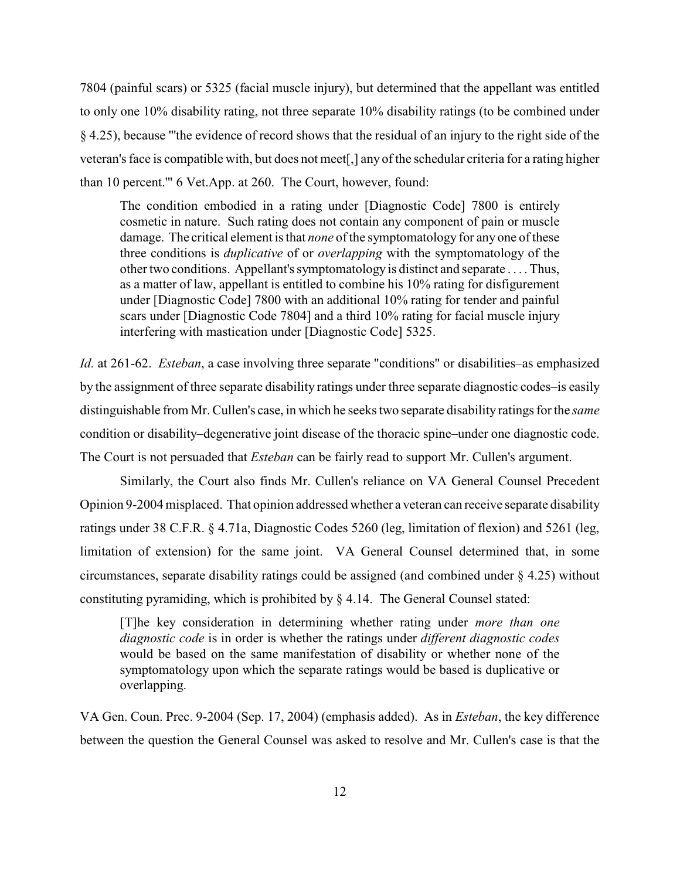7804 (painful scars) or 5325 (facial muscle injury), but determined that the appellant was entitled to only one 10% disability rating, not three separate 10% disability ratings (to be combined under § 4.25), because "'the evidence of record shows that the residual of an injury to the right side of the veteran's face is compatible with, but does not meet[,] any of the schedular criteria for a rating higher than 10 percent.'" 6 Vet.App. at 260. The Court, however, found:

The condition embodied in a rating under [Diagnostic Code] 7800 is entirely cosmetic in nature. Such rating does not contain any component of pain or muscle damage. The critical element is that *none* of the symptomatology for any one of these three conditions is *duplicative* of or *overlapping* with the symptomatology of the other two conditions. Appellant's symptomatology is distinct and separate . . . . Thus, as a matter of law, appellant is entitled to combine his 10% rating for disfigurement under [Diagnostic Code] 7800 with an additional 10% rating for tender and painful scars under [Diagnostic Code 7804] and a third 10% rating for facial muscle injury interfering with mastication under [Diagnostic Code] 5325.

*Id.* at 261-62. *Esteban*, a case involving three separate "conditions" or disabilities–as emphasized by the assignment of three separate disability ratings under three separate diagnostic codes–is easily distinguishable from Mr. Cullen's case, in which he seeks two separate disability ratings for the *same* condition or disability–degenerative joint disease of the thoracic spine–under one diagnostic code. The Court is not persuaded that *Esteban* can be fairly read to support Mr. Cullen's argument.

Similarly, the Court also finds Mr. Cullen's reliance on VA General Counsel Precedent Opinion 9-2004misplaced. That opinion addressed whether a veteran can receive separate disability ratings under 38 C.F.R. § 4.71a, Diagnostic Codes 5260 (leg, limitation of flexion) and 5261 (leg, limitation of extension) for the same joint. VA General Counsel determined that, in some circumstances, separate disability ratings could be assigned (and combined under § 4.25) without constituting pyramiding, which is prohibited by § 4.14. The General Counsel stated:

[T]he key consideration in determining whether rating under *more than one diagnostic code* is in order is whether the ratings under *different diagnostic codes* would be based on the same manifestation of disability or whether none of the symptomatology upon which the separate ratings would be based is duplicative or overlapping.

VA Gen. Coun. Prec. 9-2004 (Sep. 17, 2004) (emphasis added). As in *Esteban*, the key difference between the question the General Counsel was asked to resolve and Mr. Cullen's case is that the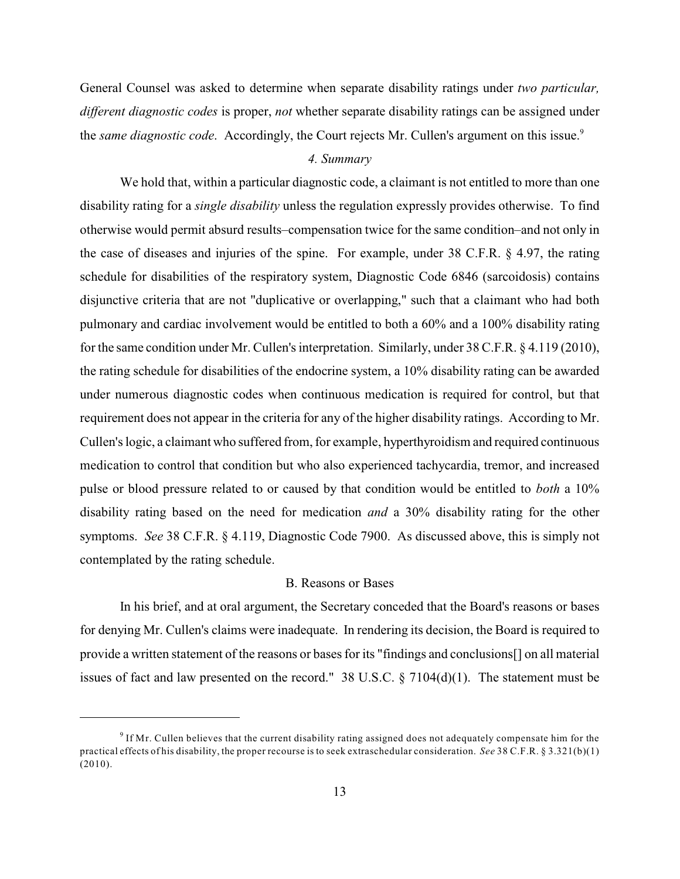General Counsel was asked to determine when separate disability ratings under *two particular, different diagnostic codes* is proper, *not* whether separate disability ratings can be assigned under the *same diagnostic code*. Accordingly, the Court rejects Mr. Cullen's argument on this issue.<sup>9</sup>

# *4. Summary*

We hold that, within a particular diagnostic code, a claimant is not entitled to more than one disability rating for a *single disability* unless the regulation expressly provides otherwise. To find otherwise would permit absurd results–compensation twice for the same condition–and not only in the case of diseases and injuries of the spine. For example, under 38 C.F.R. § 4.97, the rating schedule for disabilities of the respiratory system, Diagnostic Code 6846 (sarcoidosis) contains disjunctive criteria that are not "duplicative or overlapping," such that a claimant who had both pulmonary and cardiac involvement would be entitled to both a 60% and a 100% disability rating for the same condition under Mr. Cullen's interpretation. Similarly, under 38 C.F.R. § 4.119 (2010), the rating schedule for disabilities of the endocrine system, a 10% disability rating can be awarded under numerous diagnostic codes when continuous medication is required for control, but that requirement does not appear in the criteria for any of the higher disability ratings. According to Mr. Cullen's logic, a claimant who suffered from, for example, hyperthyroidism and required continuous medication to control that condition but who also experienced tachycardia, tremor, and increased pulse or blood pressure related to or caused by that condition would be entitled to *both* a 10% disability rating based on the need for medication *and* a 30% disability rating for the other symptoms. *See* 38 C.F.R. § 4.119, Diagnostic Code 7900. As discussed above, this is simply not contemplated by the rating schedule.

#### B. Reasons or Bases

In his brief, and at oral argument, the Secretary conceded that the Board's reasons or bases for denying Mr. Cullen's claims were inadequate. In rendering its decision, the Board is required to provide a written statement of the reasons or bases for its "findings and conclusions[] on all material issues of fact and law presented on the record." 38 U.S.C.  $\S 7104(d)(1)$ . The statement must be

<sup>&</sup>lt;sup>9</sup> If Mr. Cullen believes that the current disability rating assigned does not adequately compensate him for the practical effects of his disability, the proper recourse is to seek extraschedular consideration. *See* 38 C.F.R. § 3.321(b)(1) (2010).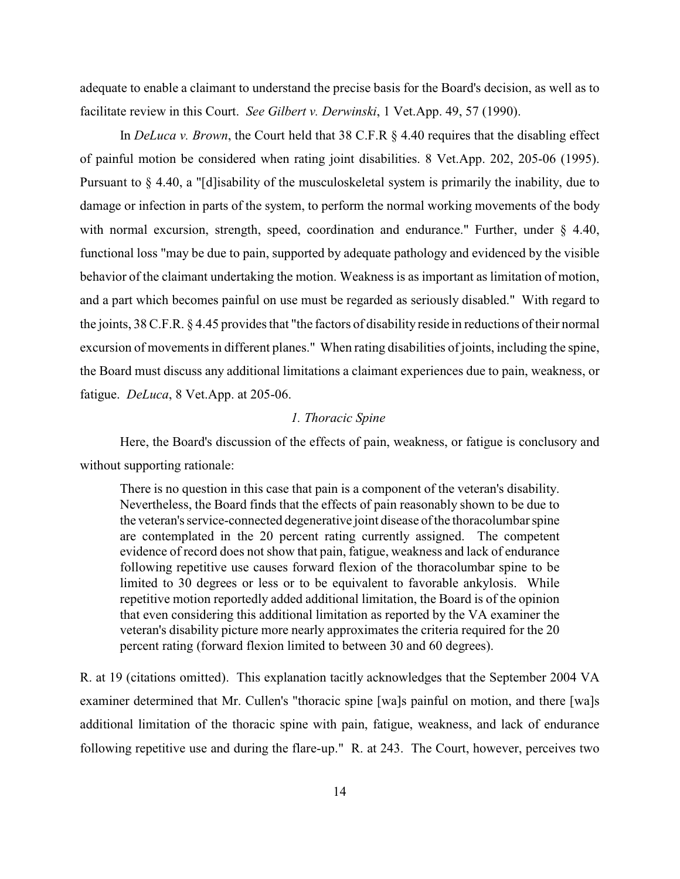adequate to enable a claimant to understand the precise basis for the Board's decision, as well as to facilitate review in this Court. *See Gilbert v. Derwinski*, 1 Vet.App. 49, 57 (1990).

In *DeLuca v. Brown*, the Court held that 38 C.F.R § 4.40 requires that the disabling effect of painful motion be considered when rating joint disabilities. 8 Vet.App. 202, 205-06 (1995). Pursuant to § 4.40, a "[d]isability of the musculoskeletal system is primarily the inability, due to damage or infection in parts of the system, to perform the normal working movements of the body with normal excursion, strength, speed, coordination and endurance." Further, under § 4.40, functional loss "may be due to pain, supported by adequate pathology and evidenced by the visible behavior of the claimant undertaking the motion. Weakness is as important as limitation of motion, and a part which becomes painful on use must be regarded as seriously disabled." With regard to the joints, 38 C.F.R. § 4.45 provides that "the factors of disability reside in reductions of their normal excursion of movements in different planes." When rating disabilities of joints, including the spine, the Board must discuss any additional limitations a claimant experiences due to pain, weakness, or fatigue. *DeLuca*, 8 Vet.App. at 205-06.

### *1. Thoracic Spine*

Here, the Board's discussion of the effects of pain, weakness, or fatigue is conclusory and without supporting rationale:

There is no question in this case that pain is a component of the veteran's disability. Nevertheless, the Board finds that the effects of pain reasonably shown to be due to the veteran's service-connected degenerative joint disease of the thoracolumbar spine are contemplated in the 20 percent rating currently assigned. The competent evidence of record does not show that pain, fatigue, weakness and lack of endurance following repetitive use causes forward flexion of the thoracolumbar spine to be limited to 30 degrees or less or to be equivalent to favorable ankylosis. While repetitive motion reportedly added additional limitation, the Board is of the opinion that even considering this additional limitation as reported by the VA examiner the veteran's disability picture more nearly approximates the criteria required for the 20 percent rating (forward flexion limited to between 30 and 60 degrees).

R. at 19 (citations omitted). This explanation tacitly acknowledges that the September 2004 VA examiner determined that Mr. Cullen's "thoracic spine [wa]s painful on motion, and there [wa]s additional limitation of the thoracic spine with pain, fatigue, weakness, and lack of endurance following repetitive use and during the flare-up." R. at 243. The Court, however, perceives two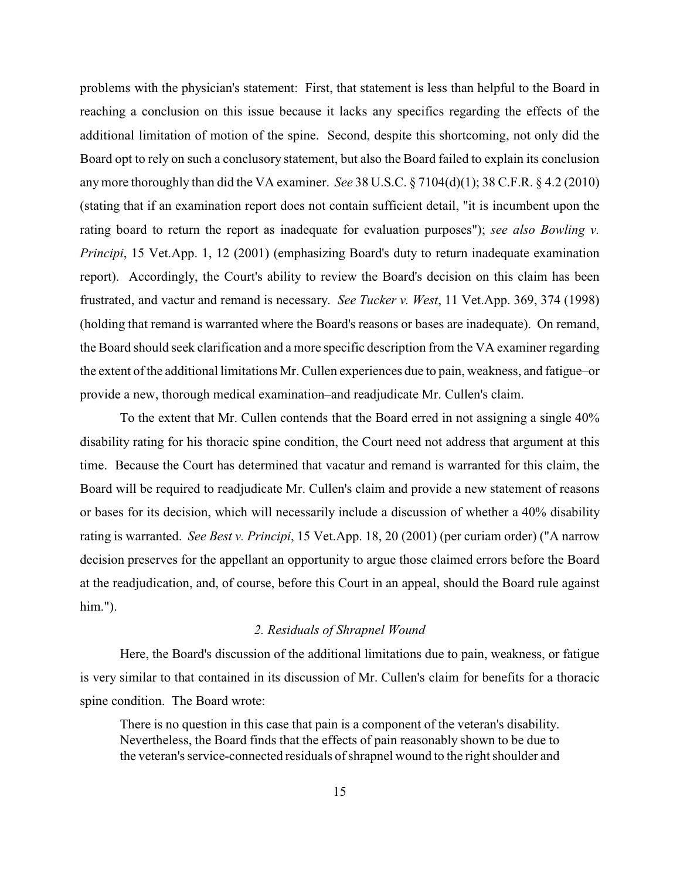problems with the physician's statement: First, that statement is less than helpful to the Board in reaching a conclusion on this issue because it lacks any specifics regarding the effects of the additional limitation of motion of the spine. Second, despite this shortcoming, not only did the Board opt to rely on such a conclusory statement, but also the Board failed to explain its conclusion any more thoroughly than did the VA examiner. *See* 38 U.S.C. § 7104(d)(1); 38 C.F.R. § 4.2 (2010) (stating that if an examination report does not contain sufficient detail, "it is incumbent upon the rating board to return the report as inadequate for evaluation purposes"); *see also Bowling v. Principi*, 15 Vet.App. 1, 12 (2001) (emphasizing Board's duty to return inadequate examination report). Accordingly, the Court's ability to review the Board's decision on this claim has been frustrated, and vactur and remand is necessary. *See Tucker v. West*, 11 Vet.App. 369, 374 (1998) (holding that remand is warranted where the Board's reasons or bases are inadequate). On remand, the Board should seek clarification and a more specific description from the VA examiner regarding the extent of the additional limitations Mr. Cullen experiences due to pain, weakness, and fatigue–or provide a new, thorough medical examination–and readjudicate Mr. Cullen's claim.

To the extent that Mr. Cullen contends that the Board erred in not assigning a single 40% disability rating for his thoracic spine condition, the Court need not address that argument at this time. Because the Court has determined that vacatur and remand is warranted for this claim, the Board will be required to readjudicate Mr. Cullen's claim and provide a new statement of reasons or bases for its decision, which will necessarily include a discussion of whether a 40% disability rating is warranted. *See Best v. Principi*, 15 Vet.App. 18, 20 (2001) (per curiam order) ("A narrow decision preserves for the appellant an opportunity to argue those claimed errors before the Board at the readjudication, and, of course, before this Court in an appeal, should the Board rule against him.").

# *2. Residuals of Shrapnel Wound*

Here, the Board's discussion of the additional limitations due to pain, weakness, or fatigue is very similar to that contained in its discussion of Mr. Cullen's claim for benefits for a thoracic spine condition. The Board wrote:

There is no question in this case that pain is a component of the veteran's disability. Nevertheless, the Board finds that the effects of pain reasonably shown to be due to the veteran's service-connected residuals of shrapnel wound to the right shoulder and